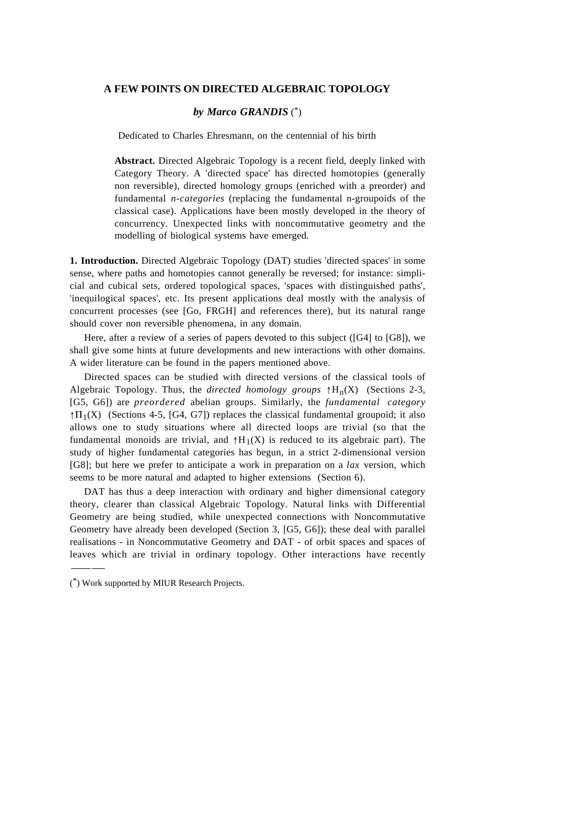## **A FEW POINTS ON DIRECTED ALGEBRAIC TOPOLOGY**

## *by Marco GRANDIS* (\*)

Dedicated to Charles Ehresmann, on the centennial of his birth

**Abstract.** Directed Algebraic Topology is a recent field, deeply linked with Category Theory. A 'directed space' has directed homotopies (generally non reversible), directed homology groups (enriched with a preorder) and fundamental *n-categories* (replacing the fundamental n-groupoids of the classical case). Applications have been mostly developed in the theory of concurrency. Unexpected links with noncommutative geometry and the modelling of biological systems have emerged.

**1. Introduction.** Directed Algebraic Topology (DAT) studies 'directed spaces' in some sense, where paths and homotopies cannot generally be reversed; for instance: simplicial and cubical sets, ordered topological spaces, 'spaces with distinguished paths', 'inequilogical spaces', etc. Its present applications deal mostly with the analysis of concurrent processes (see [Go, FRGH] and references there), but its natural range should cover non reversible phenomena, in any domain.

Here, after a review of a series of papers devoted to this subject ([G4] to [G8]), we shall give some hints at future developments and new interactions with other domains. A wider literature can be found in the papers mentioned above.

Directed spaces can be studied with directed versions of the classical tools of Algebraic Topology. Thus, the *directed homology groups*  $\uparrow$ H<sub>n</sub>(X) (Sections 2-3, [G5, G6]) are *preordered* abelian groups. Similarly, the *fundamental category*  $\uparrow$   $\Pi_1(X)$  (Sections 4-5, [G4, G7]) replaces the classical fundamental groupoid; it also allows one to study situations where all directed loops are trivial (so that the fundamental monoids are trivial, and  $\uparrow H_1(X)$  is reduced to its algebraic part). The study of higher fundamental categories has begun, in a strict 2-dimensional version [G8]; but here we prefer to anticipate a work in preparation on a *lax* version, which seems to be more natural and adapted to higher extensions (Section 6).

DAT has thus a deep interaction with ordinary and higher dimensional category theory, clearer than classical Algebraic Topology. Natural links with Differential Geometry are being studied, while unexpected connections with Noncommutative Geometry have already been developed (Section 3, [G5, G6]); these deal with parallel realisations - in Noncommutative Geometry and DAT - of orbit spaces and spaces of leaves which are trivial in ordinary topology. Other interactions have recently

---

<sup>(</sup>\*) Work supported by MIUR Research Projects.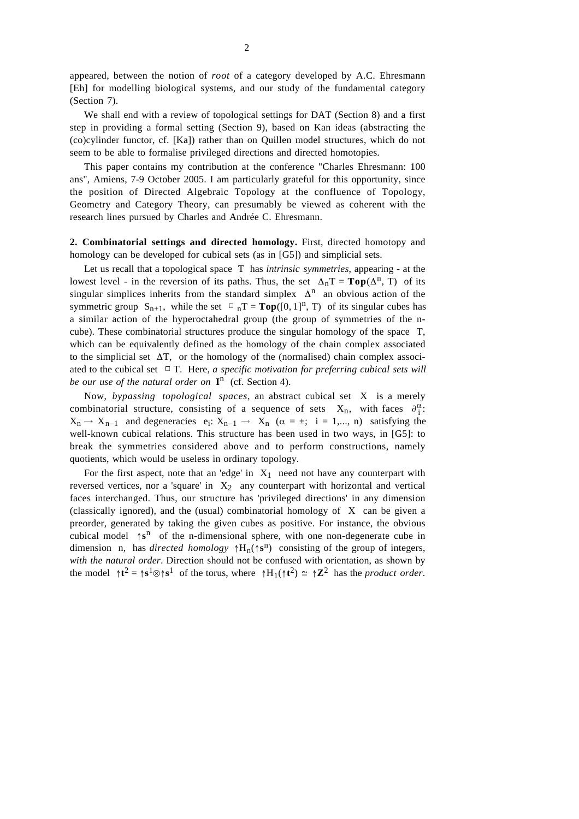appeared, between the notion of *root* of a category developed by A.C. Ehresmann [Eh] for modelling biological systems, and our study of the fundamental category (Section 7).

We shall end with a review of topological settings for DAT (Section 8) and a first step in providing a formal setting (Section 9), based on Kan ideas (abstracting the (co)cylinder functor, cf. [Ka]) rather than on Quillen model structures, which do not seem to be able to formalise privileged directions and directed homotopies.

This paper contains my contribution at the conference "Charles Ehresmann: 100 ans", Amiens, 7-9 October 2005. I am particularly grateful for this opportunity, since the position of Directed Algebraic Topology at the confluence of Topology, Geometry and Category Theory, can presumably be viewed as coherent with the research lines pursued by Charles and Andrée C. Ehresmann.

**2. Combinatorial settings and directed homology.** First, directed homotopy and homology can be developed for cubical sets (as in [G5]) and simplicial sets.

Let us recall that a topological space T has *intrinsic symmetries*, appearing - at the lowest level - in the reversion of its paths. Thus, the set  $\Delta_nT = \textbf{Top}(\Delta^n, T)$  of its singular simplices inherits from the standard simplex  $\Delta^n$  an obvious action of the symmetric group  $S_{n+1}$ , while the set  $\Box_nT = \text{Top}([0, 1]^n, T)$  of its singular cubes has a similar action of the hyperoctahedral group (the group of symmetries of the ncube). These combinatorial structures produce the singular homology of the space T, which can be equivalently defined as the homology of the chain complex associated to the simplicial set ∆T, or the homology of the (normalised) chain complex associated to the cubical set ∆T. Here, *a specific motivation for preferring cubical sets will be our use of the natural order on* **I**<sup>n</sup> (cf. Section 4).

Now, *bypassing topological spaces*, an abstract cubical set X is a merely combinatorial structure, consisting of a sequence of sets  $X_n$ , with faces  $\partial_i^{\alpha}$ :  $X_n \to X_{n-1}$  and degeneracies  $e_i: X_{n-1} \to X_n$   $(\alpha = \pm; i = 1,..., n)$  satisfying the well-known cubical relations. This structure has been used in two ways, in [G5]: to break the symmetries considered above and to perform constructions, namely quotients, which would be useless in ordinary topology.

For the first aspect, note that an 'edge' in  $X_1$  need not have any counterpart with reversed vertices, nor a 'square' in  $X_2$  any counterpart with horizontal and vertical faces interchanged. Thus, our structure has 'privileged directions' in any dimension (classically ignored), and the (usual) combinatorial homology of X can be given a preorder, generated by taking the given cubes as positive. For instance, the obvious cubical model ↑**s**<sup>n</sup> of the n-dimensional sphere, with one non-degenerate cube in dimension n, has *directed homology* <sup>↑</sup>Hn(↑**s**n) consisting of the group of integers, *with the natural order*. Direction should not be confused with orientation, as shown by the model  $\uparrow t^2 = \uparrow s^1 \otimes \uparrow s^1$  of the torus, where  $\uparrow H_1(\uparrow t^2) \cong \uparrow \mathbb{Z}^2$  has the *product order*.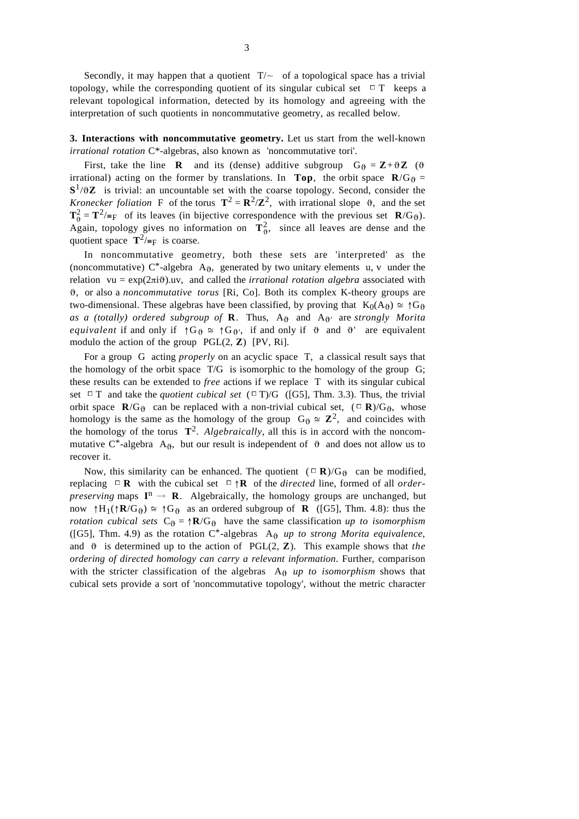Secondly, it may happen that a quotient  $T/\sim$  of a topological space has a trivial topology, while the corresponding quotient of its singular cubical set  $\Box$  T keeps a relevant topological information, detected by its homology and agreeing with the interpretation of such quotients in noncommutative geometry, as recalled below.

**3. Interactions with noncommutative geometry.** Let us start from the well-known *irrational rotation* C\*-algebras, also known as 'noncommutative tori'.

First, take the line **R** and its (dense) additive subgroup  $G_{\theta} = \mathbf{Z} + \theta \mathbf{Z}$  ( $\theta$ irrational) acting on the former by translations. In **Top**, the orbit space  $\mathbf{R}/\mathbf{G}_{\theta}$  =  $S^1/\partial Z$  is trivial: an uncountable set with the coarse topology. Second, consider the *Kronecker foliation* F of the torus  $T^2 = R^2/Z^2$ , with irrational slope  $\vartheta$ , and the set  $\mathbf{T}_{\theta}^2 = \mathbf{T}^2 / \equiv_F$  of its leaves (in bijective correspondence with the previous set  $\mathbf{R}/G_{\theta}$ ). Again, topology gives no information on  $T^2_{\theta}$ , since all leaves are dense and the quotient space  $\mathbf{T}^2/\equiv_F$  is coarse.

In noncommutative geometry, both these sets are 'interpreted' as the (noncommutative)  $C^*$ -algebra A $_{\theta}$ , generated by two unitary elements u, v under the relation vu =  $exp(2\pi i\theta)$ .uv, and called the *irrational rotation algebra* associated with ϑ, or also a *noncommutative torus* [Ri, Co]. Both its complex K-theory groups are two-dimensional. These algebras have been classified, by proving that  $K_0(A_0) \cong \uparrow G_0$ as a (totally) ordered subgroup of **R**. Thus,  $A_{\vartheta}$  and  $A_{\vartheta}$  are *strongly Morita equivalent* if and only if  $\uparrow G_{\vartheta} \cong \uparrow G_{\vartheta}$ , if and only if  $\vartheta$  and  $\vartheta'$  are equivalent modulo the action of the group PGL(2, **Z**) [PV, Ri].

For a group G acting *properly* on an acyclic space T, a classical result says that the homology of the orbit space T/G is isomorphic to the homology of the group G; these results can be extended to *free* actions if we replace T with its singular cubical set  $\Box$  T and take the *quotient cubical set* ( $\Box$ T)/G ([G5], Thm. 3.3). Thus, the trivial orbit space **R**/G<sub> $\theta$ </sub> can be replaced with a non-trivial cubical set, ( $\Box$  **R**)/G<sub> $\theta$ </sub>, whose homology is the same as the homology of the group  $G_{\theta} \cong \mathbb{Z}^2$ , and coincides with the homology of the torus  $\mathbf{T}^2$ . *Algebraically*, all this is in accord with the noncommutative C<sup>\*</sup>-algebra A<sub>0</sub>, but our result is independent of  $\theta$  and does not allow us to recover it.

Now, this similarity can be enhanced. The quotient  $({\square} \mathbf{R})/G_{\theta}$  can be modified, replacing ∆**<sup>R</sup>** with the cubical set ∆↑**<sup>R</sup>** of the *directed* line, formed of all *orderpreserving* maps  $I^n \rightarrow R$ . Algebraically, the homology groups are unchanged, but now  $\uparrow H_1(\uparrow \mathbf{R}/G_{\vartheta}) \cong \uparrow G_{\vartheta}$  as an ordered subgroup of **R** ([G5], Thm. 4.8): thus the *rotation cubical sets*  $C_{\theta} = \uparrow \mathbf{R}/G_{\theta}$  have the same classification *up to isomorphism* ([G5], Thm. 4.9) as the rotation  $C^*$ -algebras A $\theta$  *up to strong Morita equivalence*, and  $\vartheta$  is determined up to the action of PGL(2,  $\mathbf{Z}$ ). This example shows that *the ordering of directed homology can carry a relevant information*. Further, comparison with the stricter classification of the algebras  $A_{\theta}$  *up to isomorphism* shows that cubical sets provide a sort of 'noncommutative topology', without the metric character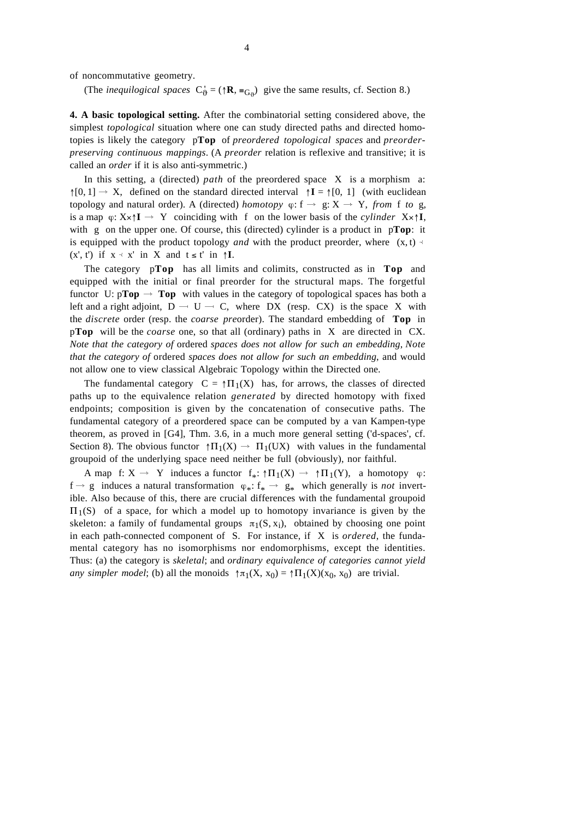of noncommutative geometry.

(The *inequilogical spaces*  $C_0^+ = (\uparrow \mathbf{R}, \equiv_{G_0})$  give the same results, cf. Section 8.)

**4. A basic topological setting.** After the combinatorial setting considered above, the simplest *topological* situation where one can study directed paths and directed homotopies is likely the category p**Top** of *preordered topological spaces* and *preorderpreserving continuous mappings*. (A *preorder* relation is reflexive and transitive; it is called an *order* if it is also anti-symmetric.)

In this setting, a (directed) *path* of the preordered space X is a morphism a:  $\uparrow$ [0, 1]  $\rightarrow$  X, defined on the standard directed interval  $\uparrow$ **I** =  $\uparrow$ [0, 1] (with euclidean topology and natural order). A (directed) *homotopy*  $\varphi$ : f  $\rightarrow$  g: X  $\rightarrow$  Y, *from* f *to* g, is a map  $\varphi: X \times \uparrow I \rightarrow Y$  coinciding with f on the lower basis of the *cylinder*  $X \times \uparrow I$ , with g on the upper one. Of course, this (directed) cylinder is a product in p**Top**: it is equipped with the product topology *and* with the product preorder, where  $(x, t) \le$  $(x', t')$  if  $x \prec x'$  in X and  $t \leq t'$  in  $\uparrow I$ .

The category p**Top** has all limits and colimits, constructed as in **Top** and equipped with the initial or final preorder for the structural maps. The forgetful functor U:  $p\text{Top} \rightarrow \text{Top}$  with values in the category of topological spaces has both a left and a right adjoint,  $D - U - C$ , where DX (resp. CX) is the space X with the *discrete* order (resp. the *coarse pre*order). The standard embedding of **Top** in p**Top** will be the *coarse* one, so that all (ordinary) paths in X are directed in CX. *Note that the category of* ordered *spaces does not allow for such an embedding*, *Note that the category of* ordered *spaces does not allow for such an embedding*, and would not allow one to view classical Algebraic Topology within the Directed one.

The fundamental category  $C = \uparrow \Pi_1(X)$  has, for arrows, the classes of directed paths up to the equivalence relation *generated* by directed homotopy with fixed endpoints; composition is given by the concatenation of consecutive paths. The fundamental category of a preordered space can be computed by a van Kampen-type theorem, as proved in [G4], Thm. 3.6, in a much more general setting ('d-spaces', cf. Section 8). The obvious functor  $\uparrow \Pi_1(X) \rightarrow \Pi_1(UX)$  with values in the fundamental groupoid of the underlying space need neither be full (obviously), nor faithful.

A map f:  $X \to Y$  induces a functor  $f_*: \uparrow \Pi_1(X) \to \uparrow \Pi_1(Y)$ , a homotopy  $\varphi$ :  $f \rightarrow g$  induces a natural transformation  $\varphi_*: f_* \rightarrow g_*$  which generally is *not* invertible. Also because of this, there are crucial differences with the fundamental groupoid  $\Pi_1(S)$  of a space, for which a model up to homotopy invariance is given by the skeleton: a family of fundamental groups  $\pi_1(S, x_i)$ , obtained by choosing one point in each path-connected component of S. For instance, if X is *ordered*, the fundamental category has no isomorphisms nor endomorphisms, except the identities. Thus: (a) the category is *skeletal*; and *ordinary equivalence of categories cannot yield any simpler model*; (b) all the monoids  $\uparrow \pi_1(X, x_0) = \uparrow \Pi_1(X)(x_0, x_0)$  are trivial.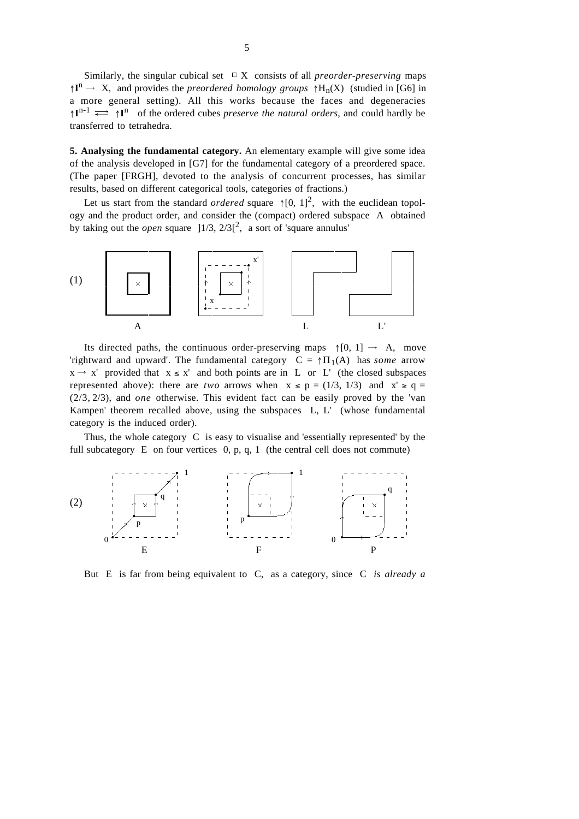Similarly, the singular cubical set  $□ X$  consists of all *preorder-preserving* maps  $\uparrow$ **I**<sup>n</sup>  $\rightarrow$  X, and provides the *preordered homology groups*  $\uparrow$  H<sub>n</sub>(X) (studied in [G6] in a more general setting). All this works because the faces and degeneracies  $\uparrow \mathbf{I}^{n-1} \rightleftarrows \uparrow \mathbf{I}^n$  of the ordered cubes *preserve the natural orders*, and could hardly be transferred to tetrahedra.

**5. Analysing the fundamental category.** An elementary example will give some idea of the analysis developed in [G7] for the fundamental category of a preordered space. (The paper [FRGH], devoted to the analysis of concurrent processes, has similar results, based on different categorical tools, categories of fractions.)

Let us start from the standard *ordered* square  $\uparrow$  [0, 1]<sup>2</sup>, with the euclidean topology and the product order, and consider the (compact) ordered subspace A obtained by taking out the *open* square  $]1/3$ ,  $2/3[^2$ , a sort of 'square annulus'



Its directed paths, the continuous order-preserving maps  $\uparrow$  [0, 1]  $\rightarrow$  A, move 'rightward and upward'. The fundamental category  $C = \uparrow \Pi_1(A)$  has *some* arrow  $x \rightarrow x'$  provided that  $x \le x'$  and both points are in L or L' (the closed subspaces represented above): there are *two* arrows when  $x \le p = (1/3, 1/3)$  and  $x' \ge q =$ (2/3, 2/3), and *one* otherwise. This evident fact can be easily proved by the 'van Kampen' theorem recalled above, using the subspaces L, L' (whose fundamental category is the induced order).

Thus, the whole category C is easy to visualise and 'essentially represented' by the full subcategory  $E$  on four vertices  $0, p, q, 1$  (the central cell does not commute)



But E is far from being equivalent to C, as a category, since C *is already a*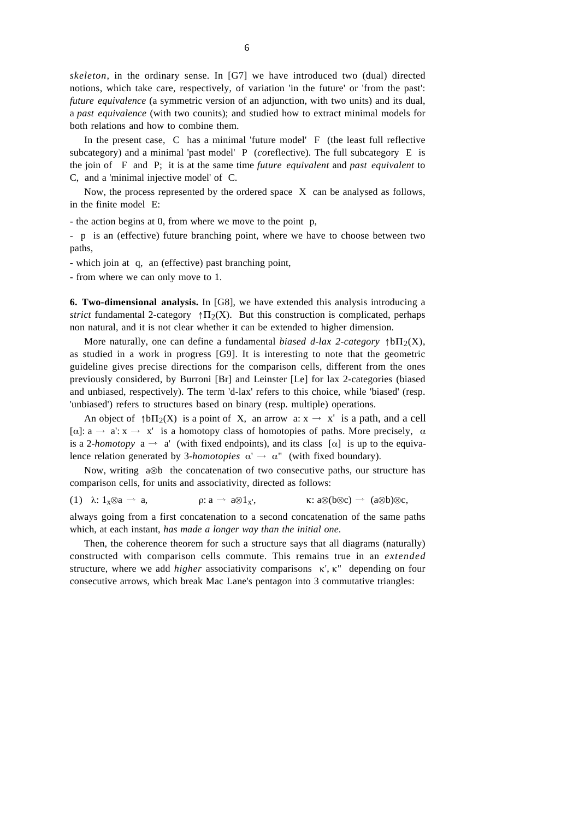*skeleton*, in the ordinary sense. In [G7] we have introduced two (dual) directed notions, which take care, respectively, of variation 'in the future' or 'from the past': *future equivalence* (a symmetric version of an adjunction, with two units) and its dual, a *past equivalence* (with two counits); and studied how to extract minimal models for both relations and how to combine them.

In the present case, C has a minimal 'future model' F (the least full reflective subcategory) and a minimal 'past model' P (*co*reflective). The full subcategory E is the join of F and P; it is at the same time *future equivalent* and *past equivalent* to C, and a 'minimal injective model' of C.

Now, the process represented by the ordered space X can be analysed as follows, in the finite model E:

- the action begins at 0, from where we move to the point p,

- p is an (effective) future branching point, where we have to choose between two paths,

- which join at q, an (effective) past branching point,

- from where we can only move to 1.

**6. Two-dimensional analysis.** In [G8], we have extended this analysis introducing a *strict* fundamental 2-category  $\uparrow \Pi_2(X)$ . But this construction is complicated, perhaps non natural, and it is not clear whether it can be extended to higher dimension.

More naturally, one can define a fundamental *biased d-lax 2-category*  $\uparrow b\Pi_2(X)$ , as studied in a work in progress [G9]. It is interesting to note that the geometric guideline gives precise directions for the comparison cells, different from the ones previously considered, by Burroni [Br] and Leinster [Le] for lax 2-categories (biased and unbiased, respectively). The term 'd-lax' refers to this choice, while 'biased' (resp. 'unbiased') refers to structures based on binary (resp. multiple) operations.

An object of  $\uparrow b\Pi_2(X)$  is a point of X, an arrow a:  $x \to x'$  is a path, and a cell [ $\alpha$ ]:  $a \rightarrow a$ :  $x \rightarrow x'$  is a homotopy class of homotopies of paths. More precisely,  $\alpha$ is a 2-*homotopy*  $a \rightarrow a'$  (with fixed endpoints), and its class  $[\alpha]$  is up to the equivalence relation generated by 3-*homotopies*  $\alpha' \rightarrow \alpha''$  (with fixed boundary).

Now, writing a⊗b the concatenation of two consecutive paths, our structure has comparison cells, for units and associativity, directed as follows:

(1) 
$$
\lambda: 1_x \otimes a \to a
$$
,  $\rho: a \to a \otimes 1_x$ ,  $\kappa: a \otimes (b \otimes c) \to (a \otimes b) \otimes c$ ,

always going from a first concatenation to a second concatenation of the same paths which, at each instant, *has made a longer way than the initial one*.

Then, the coherence theorem for such a structure says that all diagrams (naturally) constructed with comparison cells commute. This remains true in an *extended* structure, where we add *higher* associativity comparisons κ', κ" depending on four consecutive arrows, which break Mac Lane's pentagon into 3 commutative triangles: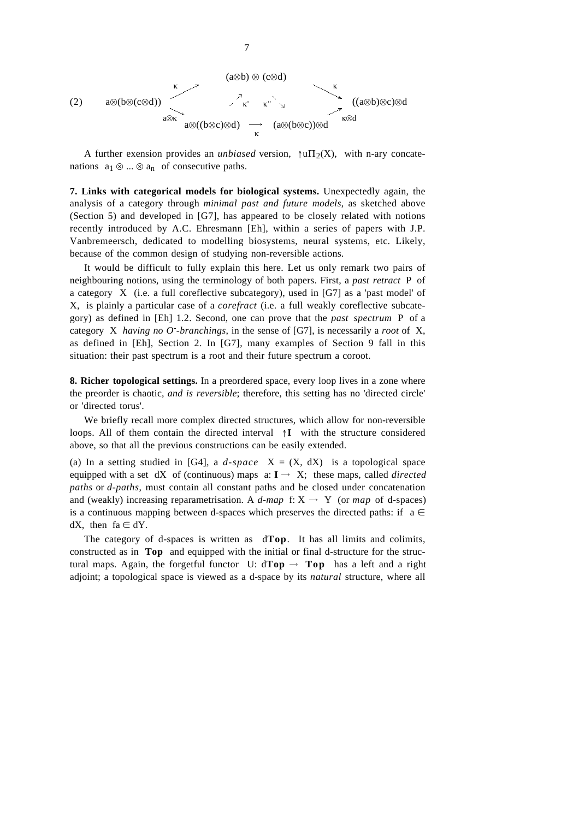

7

A further exension provides an *unbiased* version,  $\uparrow$ u $\Pi_2(X)$ , with n-ary concatenations  $a_1 \otimes ... \otimes a_n$  of consecutive paths.

**7. Links with categorical models for biological systems.** Unexpectedly again, the analysis of a category through *minimal past and future models*, as sketched above (Section 5) and developed in [G7], has appeared to be closely related with notions recently introduced by A.C. Ehresmann [Eh], within a series of papers with J.P. Vanbremeersch, dedicated to modelling biosystems, neural systems, etc. Likely, because of the common design of studying non-reversible actions.

It would be difficult to fully explain this here. Let us only remark two pairs of neighbouring notions, using the terminology of both papers. First, a *past retract* P of a category X (i.e. a full coreflective subcategory), used in [G7] as a 'past model' of X, is plainly a particular case of a *corefract* (i.e. a full weakly coreflective subcategory) as defined in [Eh] 1.2. Second, one can prove that the *past spectrum* P of a category X *having no O- -branchings*, in the sense of [G7], is necessarily a *root* of X, as defined in [Eh], Section 2. In [G7], many examples of Section 9 fall in this situation: their past spectrum is a root and their future spectrum a coroot.

**8. Richer topological settings.** In a preordered space, every loop lives in a zone where the preorder is chaotic, *and is reversible*; therefore, this setting has no 'directed circle' or 'directed torus'.

We briefly recall more complex directed structures, which allow for non-reversible loops. All of them contain the directed interval ↑**I** with the structure considered above, so that all the previous constructions can be easily extended.

(a) In a setting studied in [G4], a  $d$ -space  $X = (X, dX)$  is a topological space equipped with a set dX of (continuous) maps a:  $I \rightarrow X$ ; these maps, called *directed paths* or *d-paths*, must contain all constant paths and be closed under concatenation and (weakly) increasing reparametrisation. A *d-map* f:  $X \rightarrow Y$  (or *map* of d-spaces) is a continuous mapping between d-spaces which preserves the directed paths: if a  $\in$ dX, then  $fa \in dY$ .

The category of d-spaces is written as d**Top**. It has all limits and colimits, constructed as in **Top** and equipped with the initial or final d-structure for the structural maps. Again, the forgetful functor U:  $d\text{Top} \rightarrow \text{Top}$  has a left and a right adjoint; a topological space is viewed as a d-space by its *natural* structure, where all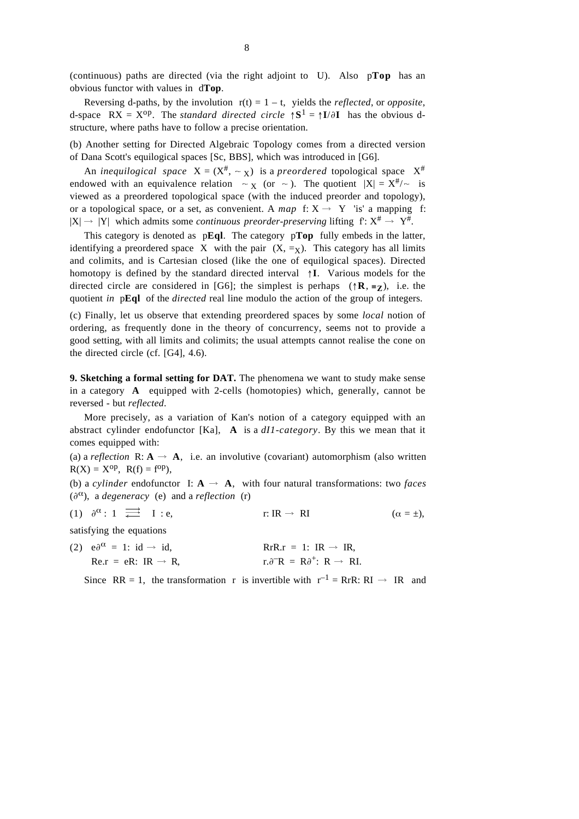(continuous) paths are directed (via the right adjoint to U). Also p**Top** has an obvious functor with values in d**Top**.

Reversing d-paths, by the involution  $r(t) = 1 - t$ , yields the *reflected*, or *opposite*, d-space  $RX = X^{op}$ . The *standard directed circle*  $\uparrow S^1 = \uparrow I/\partial I$  has the obvious dstructure, where paths have to follow a precise orientation.

(b) Another setting for Directed Algebraic Topology comes from a directed version of Dana Scott's equilogical spaces [Sc, BBS], which was introduced in [G6].

An *inequilogical space*  $X = (X^{\#}, \sim_X)$  is a *preordered* topological space  $X^{\#}$ endowed with an equivalence relation  $\sim$  x (or  $\sim$  ). The quotient  $|X| = X^{\#}/\sim$  is viewed as a preordered topological space (with the induced preorder and topology), or a topological space, or a set, as convenient. A *map* f:  $X \rightarrow Y$  'is' a mapping f:  $|X| \rightarrow |Y|$  which admits some *continuous preorder-preserving* lifting  $f: X^* \rightarrow Y^*$ .

This category is denoted as p**Eql**. The category p**Top** fully embeds in the latter, identifying a preordered space X with the pair  $(X, =<sub>X</sub>)$ . This category has all limits and colimits, and is Cartesian closed (like the one of equilogical spaces). Directed homotopy is defined by the standard directed interval ↑**I**. Various models for the directed circle are considered in [G6]; the simplest is perhaps  $({\uparrow} \mathbf{R}, \equiv \mathbf{z})$ , i.e. the quotient *in* p**Eql** of the *directed* real line modulo the action of the group of integers.

(c) Finally, let us observe that extending preordered spaces by some *local* notion of ordering, as frequently done in the theory of concurrency, seems not to provide a good setting, with all limits and colimits; the usual attempts cannot realise the cone on the directed circle (cf. [G4], 4.6).

**9. Sketching a formal setting for DAT.** The phenomena we want to study make sense in a category **A** equipped with 2-cells (homotopies) which, generally, cannot be reversed - but *reflected*.

More precisely, as a variation of Kan's notion of a category equipped with an abstract cylinder endofunctor [Ka], **A** is a *dI1-category*. By this we mean that it comes equipped with:

(a) a *reflection*  $\mathbf{R}: \mathbf{A} \to \mathbf{A}$ , i.e. an involutive (covariant) automorphism (also written  $R(X) = X^{op}$ ,  $R(f) = f^{op}$ ),

(b) a *cylinder* endofunctor I:  $\mathbf{A} \rightarrow \mathbf{A}$ , with four natural transformations: two *faces*  $(\partial^{\alpha})$ , a *degeneracy* (e) and a *reflection* (r)

(1) 
$$
\partial^{\alpha}
$$
: 1  $\Longrightarrow$  I : e, r: IR  $\rightarrow$  RI  $(\alpha = \pm)$ ,

satisfying the equations

| (2) $e\partial^{\alpha} = 1$ : id $\rightarrow$ id, | $RrR.r = 1$ : $IR \rightarrow IR$ .                       |
|-----------------------------------------------------|-----------------------------------------------------------|
| $Re.r = eR: IR \rightarrow R$ ,                     | $r.\partial^{-1}R = R\partial^{+}$ : $R \rightarrow R$ I. |

Since RR = 1, the transformation r is invertible with  $r^{-1} = RrR$ : RI  $\rightarrow$  IR and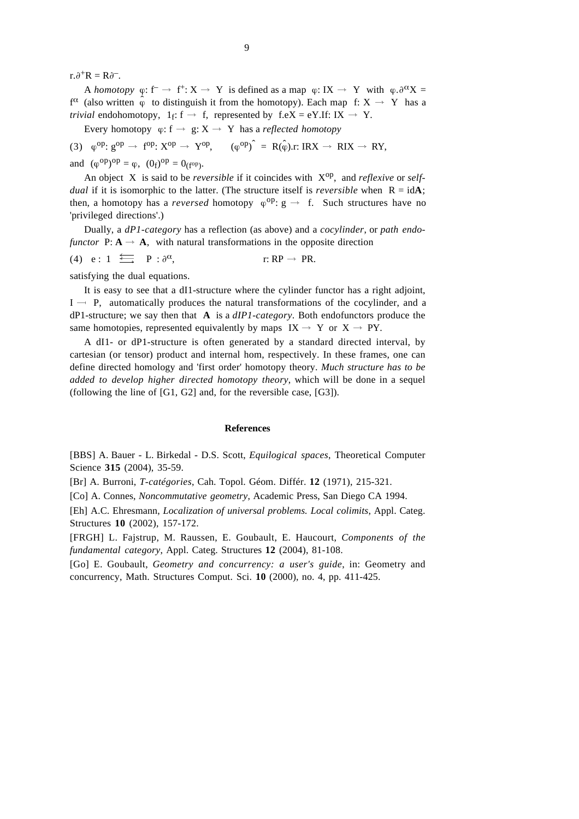$r.\partial^+R = R\partial^-$ .

A *homotopy*  $\varphi$ : f<sup>-</sup>  $\rightarrow$  f<sup>+</sup>: X  $\rightarrow$  Y is defined as a map  $\varphi$ : IX  $\rightarrow$  Y with  $\varphi$ . $\partial^{\alpha}X$  =  $f^{\alpha}$  (also written  $\phi$  to distinguish it from the homotopy). Each map f:  $X \rightarrow Y$  has a *trivial* endohomotopy,  $1_f$ :  $f \rightarrow f$ , represented by  $f.eX = eY.H$ : IX  $\rightarrow Y$ .

Every homotopy  $\varphi$ : f  $\rightarrow$  g: X  $\rightarrow$  Y has a *reflected homotopy* 

(3)  $\phi^{op}$ :  $g^{op} \rightarrow f^{op}$ :  $X^{op} \rightarrow Y^{op}$ ,  $(\phi^{op})^{\hat{}} = R(\hat{\phi})$ .r: IRX  $\rightarrow RIX \rightarrow RY$ ,

and  $(\varphi^{op})^{op} = \varphi$ ,  $(0_f)^{op} = 0_{(f^{op})}$ .

An object X is said to be *reversible* if it coincides with Xop, and *reflexive* or *selfdual* if it is isomorphic to the latter. (The structure itself is *reversible* when  $R = idA$ ; then, a homotopy has a *reversed* homotopy  $\varphi^{op}$ :  $g \rightarrow f$ . Such structures have no 'privileged directions'.)

Dually, a *dP1-category* has a reflection (as above) and a *cocylinder*, or *path endofunctor*  $P: A \rightarrow A$ , with natural transformations in the opposite direction

(4) 
$$
e: 1 \xrightarrow{e} P: \partial^{\alpha},
$$
  $r: RP \to PR.$ 

satisfying the dual equations.

It is easy to see that a dI1-structure where the cylinder functor has a right adjoint,  $I \rightarrow P$ , automatically produces the natural transformations of the cocylinder, and a dP1-structure; we say then that **A** is a *dIP1-category*. Both endofunctors produce the same homotopies, represented equivalently by maps  $IX \rightarrow Y$  or  $X \rightarrow PY$ .

A dI1- or dP1-structure is often generated by a standard directed interval, by cartesian (or tensor) product and internal hom, respectively. In these frames, one can define directed homology and 'first order' homotopy theory. *Much structure has to be added to develop higher directed homotopy theory*, which will be done in a sequel (following the line of [G1, G2] and, for the reversible case, [G3]).

## **References**

[BBS] A. Bauer - L. Birkedal - D.S. Scott, *Equilogical spaces*, Theoretical Computer Science **315** (2004), 35-59.

[Br] A. Burroni, *T-catégories*, Cah. Topol. Géom. Différ. **12** (1971), 215-321.

[Co] A. Connes, *Noncommutative geometry*, Academic Press, San Diego CA 1994.

[Eh] A.C. Ehresmann, *Localization of universal problems. Local colimits*, Appl. Categ. Structures **10** (2002), 157-172.

[FRGH] L. Fajstrup, M. Raussen, E. Goubault, E. Haucourt, *Components of the fundamental category*, Appl. Categ. Structures **12** (2004), 81-108.

[Go] E. Goubault, *Geometry and concurrency: a user's guide*, in: Geometry and concurrency, Math. Structures Comput. Sci. **10** (2000), no. 4, pp. 411-425.